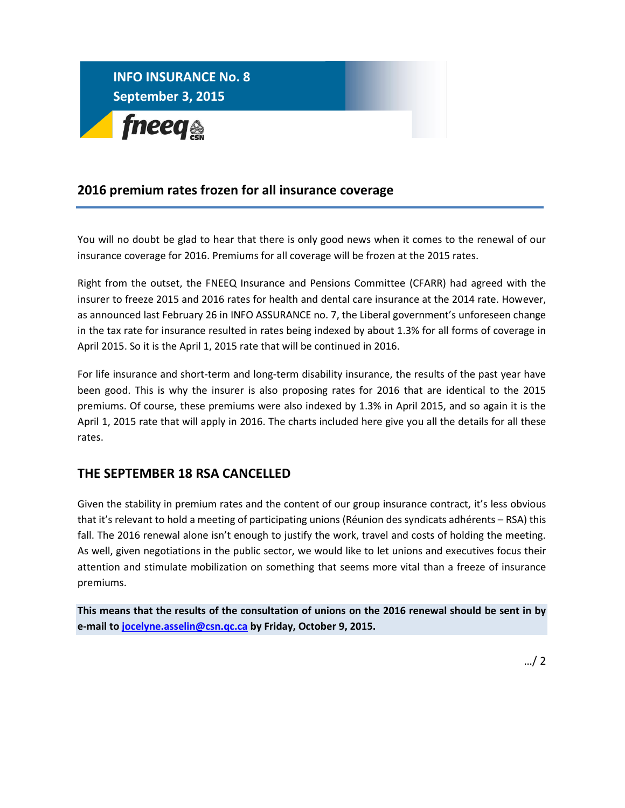

## **2016 premium rates frozen for all insurance coverage**

You will no doubt be glad to hear that there is only good news when it comes to the renewal of our insurance coverage for 2016. Premiums for all coverage will be frozen at the 2015 rates.

Right from the outset, the FNEEQ Insurance and Pensions Committee (CFARR) had agreed with the insurer to freeze 2015 and 2016 rates for health and dental care insurance at the 2014 rate. However, as announced last February 26 in INFO ASSURANCE no. 7, the Liberal government's unforeseen change in the tax rate for insurance resulted in rates being indexed by about 1.3% for all forms of coverage in April 2015. So it is the April 1, 2015 rate that will be continued in 2016.

For life insurance and short-term and long-term disability insurance, the results of the past year have been good. This is why the insurer is also proposing rates for 2016 that are identical to the 2015 premiums. Of course, these premiums were also indexed by 1.3% in April 2015, and so again it is the April 1, 2015 rate that will apply in 2016. The charts included here give you all the details for all these rates.

## **THE SEPTEMBER 18 RSA CANCELLED**

Given the stability in premium rates and the content of our group insurance contract, it's less obvious that it's relevant to hold a meeting of participating unions (Réunion des syndicats adhérents – RSA) this fall. The 2016 renewal alone isn't enough to justify the work, travel and costs of holding the meeting. As well, given negotiations in the public sector, we would like to let unions and executives focus their attention and stimulate mobilization on something that seems more vital than a freeze of insurance premiums.

**This means that the results of the consultation of unions on the 2016 renewal should be sent in by e-mail t[o jocelyne.asselin@csn.qc.ca](mailto:jocelyne.asselin@csn.qc.ca) by Friday, October 9, 2015.**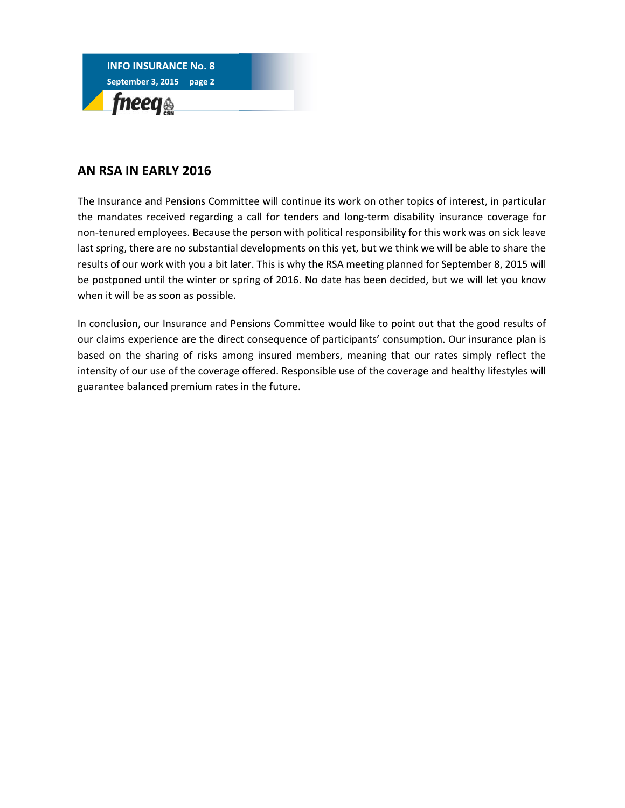

## **AN RSA IN EARLY 2016**

The Insurance and Pensions Committee will continue its work on other topics of interest, in particular the mandates received regarding a call for tenders and long-term disability insurance coverage for non-tenured employees. Because the person with political responsibility for this work was on sick leave last spring, there are no substantial developments on this yet, but we think we will be able to share the results of our work with you a bit later. This is why the RSA meeting planned for September 8, 2015 will be postponed until the winter or spring of 2016. No date has been decided, but we will let you know when it will be as soon as possible.

In conclusion, our Insurance and Pensions Committee would like to point out that the good results of our claims experience are the direct consequence of participants' consumption. Our insurance plan is based on the sharing of risks among insured members, meaning that our rates simply reflect the intensity of our use of the coverage offered. Responsible use of the coverage and healthy lifestyles will guarantee balanced premium rates in the future.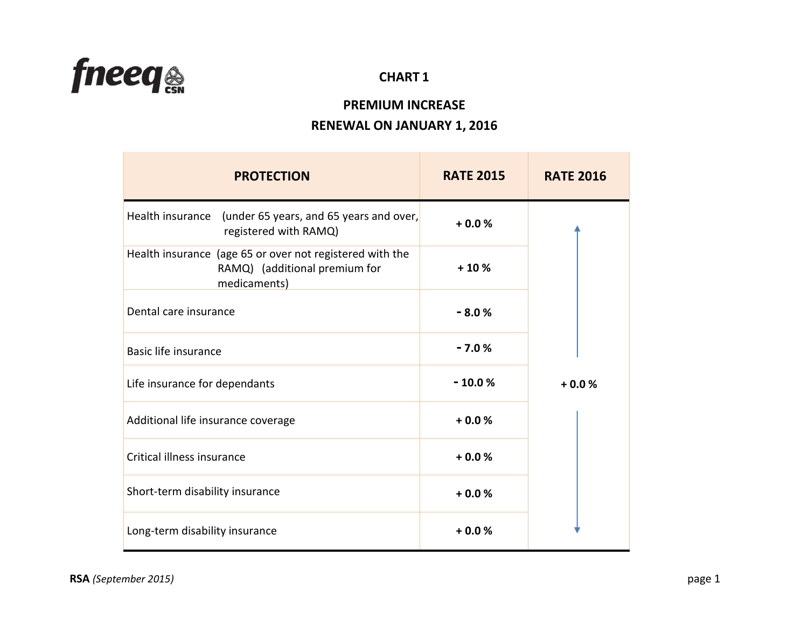

## **CHART 1**

# **PREMIUM INCREASE RENEWAL ON JANUARY 1, 2016**

| <b>PROTECTION</b>                                                                                         | <b>RATE 2015</b> | <b>RATE 2016</b> |
|-----------------------------------------------------------------------------------------------------------|------------------|------------------|
| Health insurance<br>(under 65 years, and 65 years and over,<br>registered with RAMQ)                      | $+0.0%$          |                  |
| Health insurance (age 65 or over not registered with the<br>RAMQ) (additional premium for<br>medicaments) | $+10%$           |                  |
| Dental care insurance                                                                                     | $-8.0%$          |                  |
| Basic life insurance                                                                                      | $-7.0%$          |                  |
| Life insurance for dependants                                                                             | $-10.0%$         | $+0.0%$          |
| Additional life insurance coverage                                                                        | $+0.0%$          |                  |
| Critical illness insurance                                                                                | $+0.0%$          |                  |
| Short-term disability insurance                                                                           | $+0.0%$          |                  |
| Long-term disability insurance                                                                            | $+0.0%$          |                  |